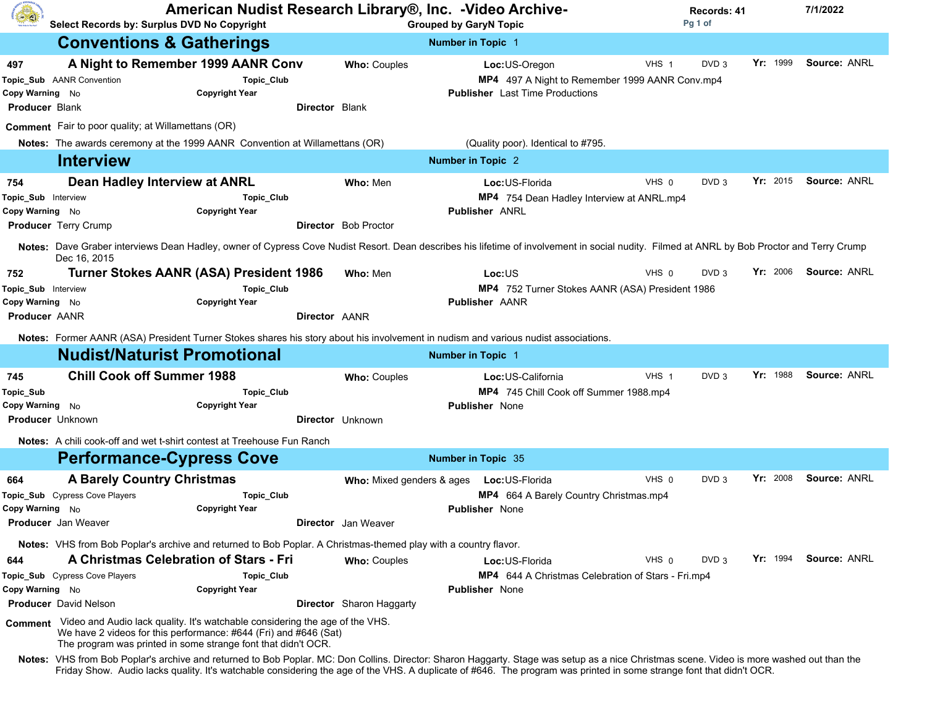| (4)                                                                   | Select Records by: Surplus DVD No Copyright                                                                                                                                                 | American Nudist Research Library®, Inc. - Video Archive-                                                                          |                                                                          | <b>Grouped by GaryN Topic</b>                                                                                                                                                                                                                                                                                                                                    |       | Records: 41<br>Pg 1 of |                 | 7/1/2022     |
|-----------------------------------------------------------------------|---------------------------------------------------------------------------------------------------------------------------------------------------------------------------------------------|-----------------------------------------------------------------------------------------------------------------------------------|--------------------------------------------------------------------------|------------------------------------------------------------------------------------------------------------------------------------------------------------------------------------------------------------------------------------------------------------------------------------------------------------------------------------------------------------------|-------|------------------------|-----------------|--------------|
|                                                                       | <b>Conventions &amp; Gatherings</b>                                                                                                                                                         |                                                                                                                                   |                                                                          | <b>Number in Topic 1</b>                                                                                                                                                                                                                                                                                                                                         |       |                        |                 |              |
| 497<br>Copy Warning No<br><b>Producer Blank</b>                       | A Night to Remember 1999 AANR Conv<br>Topic_Sub AANR Convention<br>Comment Fair to poor quality; at Willamettans (OR)                                                                       | Topic_Club<br><b>Copyright Year</b>                                                                                               | Who: Couples<br>Director Blank                                           | Loc:US-Oregon<br>MP4 497 A Night to Remember 1999 AANR Conv.mp4<br><b>Publisher</b> Last Time Productions                                                                                                                                                                                                                                                        | VHS 1 | DVD <sub>3</sub>       | Yr: 1999        | Source: ANRL |
|                                                                       | Notes: The awards ceremony at the 1999 AANR Convention at Willamettans (OR)                                                                                                                 |                                                                                                                                   |                                                                          | (Quality poor). Identical to #795.                                                                                                                                                                                                                                                                                                                               |       |                        |                 |              |
|                                                                       | <b>Interview</b>                                                                                                                                                                            |                                                                                                                                   |                                                                          | <b>Number in Topic 2</b>                                                                                                                                                                                                                                                                                                                                         |       |                        |                 |              |
| 754<br>Topic_Sub Interview<br>Copy Warning No                         | Dean Hadley Interview at ANRL<br><b>Producer</b> Terry Crump                                                                                                                                | Topic_Club<br><b>Copyright Year</b>                                                                                               | Who: Men<br><b>Director</b> Bob Proctor                                  | Loc:US-Florida<br>MP4 754 Dean Hadley Interview at ANRL.mp4<br><b>Publisher ANRL</b>                                                                                                                                                                                                                                                                             | VHS 0 | DVD <sub>3</sub>       | Yr: 2015        | Source: ANRL |
| 752<br>Topic_Sub Interview<br>Copy Warning No<br><b>Producer AANR</b> | Dec 16, 2015                                                                                                                                                                                | <b>Turner Stokes AANR (ASA) President 1986</b><br>Topic_Club<br><b>Copyright Year</b>                                             | Who: Men<br>Director AANR                                                | Notes: Dave Graber interviews Dean Hadley, owner of Cypress Cove Nudist Resort. Dean describes his lifetime of involvement in social nudity. Filmed at ANRL by Bob Proctor and Terry Crump<br>Loc:US<br>MP4 752 Turner Stokes AANR (ASA) President 1986<br><b>Publisher AANR</b>                                                                                 | VHS 0 | DVD <sub>3</sub>       | Yr: 2006        | Source: ANRL |
|                                                                       | <b>Nudist/Naturist Promotional</b>                                                                                                                                                          |                                                                                                                                   |                                                                          | Notes: Former AANR (ASA) President Turner Stokes shares his story about his involvement in nudism and various nudist associations.<br><b>Number in Topic 1</b>                                                                                                                                                                                                   |       |                        |                 |              |
|                                                                       | <b>Chill Cook off Summer 1988</b>                                                                                                                                                           |                                                                                                                                   |                                                                          |                                                                                                                                                                                                                                                                                                                                                                  |       |                        | <b>Yr:</b> 1988 | Source: ANRL |
| 745<br>Topic_Sub<br>Copy Warning No                                   | <b>Producer Unknown</b><br><b>Notes:</b> A chili cook-off and wet t-shirt contest at Treehouse Fun Ranch                                                                                    | Topic_Club<br><b>Copyright Year</b>                                                                                               | Who: Couples<br><b>Director</b> Unknown                                  | Loc: US-California<br>MP4 745 Chill Cook off Summer 1988.mp4<br><b>Publisher</b> None                                                                                                                                                                                                                                                                            | VHS 1 | DVD <sub>3</sub>       |                 |              |
|                                                                       | <b>Performance-Cypress Cove</b>                                                                                                                                                             |                                                                                                                                   |                                                                          | <b>Number in Topic 35</b>                                                                                                                                                                                                                                                                                                                                        |       |                        |                 |              |
| 664<br>Copy Warning No                                                | <b>A Barely Country Christmas</b><br>Topic_Sub Cypress Cove Players<br>Producer Jan Weaver                                                                                                  | Topic_Club<br><b>Copyright Year</b>                                                                                               | Who: Mixed genders & ages  Loc: US-Florida<br><b>Director</b> Jan Weaver | MP4 664 A Barely Country Christmas.mp4<br>Publisher None                                                                                                                                                                                                                                                                                                         | VHS 0 | DVD <sub>3</sub>       | Yr: 2008        | Source: ANRL |
| 644<br>Copy Warning No                                                | Notes: VHS from Bob Poplar's archive and returned to Bob Poplar. A Christmas-themed play with a country flavor.<br>A Christmas Celebration of Stars - Fri<br>Topic_Sub Cypress Cove Players | Topic_Club<br><b>Copyright Year</b>                                                                                               | Who: Couples                                                             | Loc:US-Florida<br><b>MP4</b> 644 A Christmas Celebration of Stars - Fri.mp4<br><b>Publisher</b> None                                                                                                                                                                                                                                                             | VHS 0 | DVD <sub>3</sub>       | Yr: 1994        | Source: ANRL |
|                                                                       | <b>Producer</b> David Nelson<br>Comment Video and Audio lack quality. It's watchable considering the age of the VHS.                                                                        | We have 2 videos for this performance: #644 (Fri) and #646 (Sat)<br>The program was printed in some strange font that didn't OCR. | <b>Director</b> Sharon Haggarty                                          | Notes: VHS from Bob Poplar's archive and returned to Bob Poplar. MC: Don Collins. Director: Sharon Haggarty. Stage was setup as a nice Christmas scene. Video is more washed out than the<br>Friday Show. Audio lacks quality. It's watchable considering the age of the VHS. A duplicate of #646. The program was printed in some strange font that didn't OCR. |       |                        |                 |              |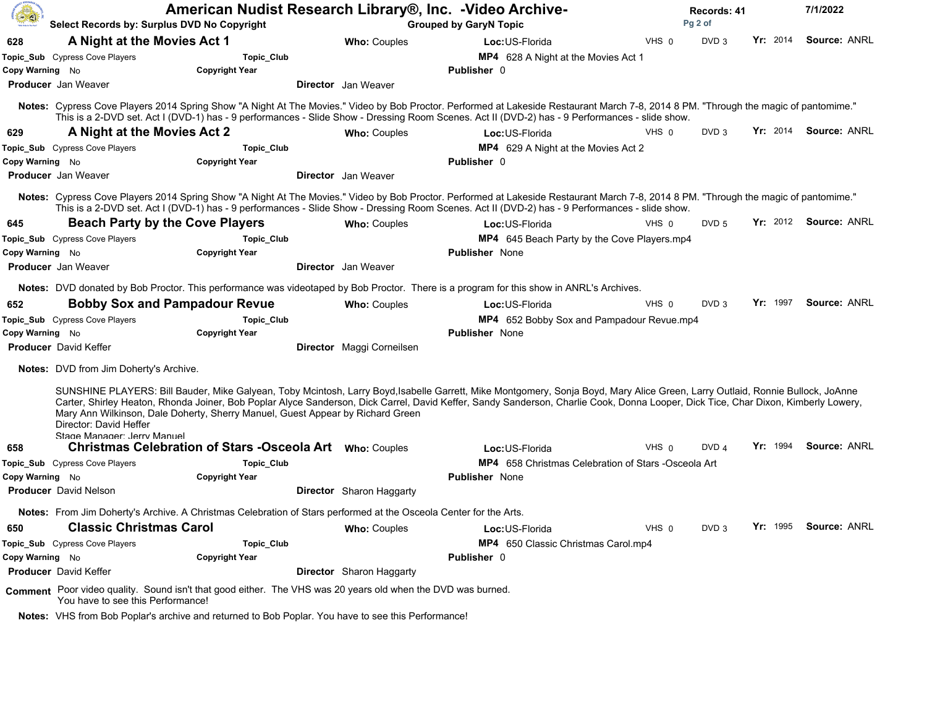| (春)             | Select Records by: Surplus DVD No Copyright           | American Nudist Research Library®, Inc. - Video Archive-<br><b>Grouped by GaryN Topic</b>                                                                                                                                                                                                                                                                                                                                                                                                                          |                                 |                       | Records: 41<br>Pg 2 of                              |       |                  |          | 7/1/2022              |                     |
|-----------------|-------------------------------------------------------|--------------------------------------------------------------------------------------------------------------------------------------------------------------------------------------------------------------------------------------------------------------------------------------------------------------------------------------------------------------------------------------------------------------------------------------------------------------------------------------------------------------------|---------------------------------|-----------------------|-----------------------------------------------------|-------|------------------|----------|-----------------------|---------------------|
| 628             | A Night at the Movies Act 1                           |                                                                                                                                                                                                                                                                                                                                                                                                                                                                                                                    | <b>Who: Couples</b>             | Loc: US-Florida       |                                                     | VHS 0 | DVD <sub>3</sub> | Yr: 2014 |                       | Source: ANRL        |
|                 | Topic_Sub Cypress Cove Players                        | Topic_Club                                                                                                                                                                                                                                                                                                                                                                                                                                                                                                         |                                 |                       | MP4 628 A Night at the Movies Act 1                 |       |                  |          |                       |                     |
| Copy Warning No |                                                       | <b>Copyright Year</b>                                                                                                                                                                                                                                                                                                                                                                                                                                                                                              |                                 | <b>Publisher</b> 0    |                                                     |       |                  |          |                       |                     |
|                 | <b>Producer</b> Jan Weaver                            |                                                                                                                                                                                                                                                                                                                                                                                                                                                                                                                    | Director Jan Weaver             |                       |                                                     |       |                  |          |                       |                     |
|                 |                                                       | Notes: Cypress Cove Players 2014 Spring Show "A Night At The Movies." Video by Bob Proctor. Performed at Lakeside Restaurant March 7-8, 2014 8 PM. "Through the magic of pantomime."<br>This is a 2-DVD set. Act I (DVD-1) has - 9 performances - Slide Show - Dressing Room Scenes. Act II (DVD-2) has - 9 Performances - slide show.                                                                                                                                                                             |                                 |                       |                                                     |       |                  |          |                       |                     |
| 629             | A Night at the Movies Act 2                           |                                                                                                                                                                                                                                                                                                                                                                                                                                                                                                                    | <b>Who: Couples</b>             | Loc:US-Florida        |                                                     | VHS 0 | DVD <sub>3</sub> | Yr: 2014 |                       | Source: ANRL        |
|                 | Topic_Sub Cypress Cove Players                        | Topic_Club                                                                                                                                                                                                                                                                                                                                                                                                                                                                                                         |                                 |                       | MP4 629 A Night at the Movies Act 2                 |       |                  |          |                       |                     |
| Copy Warning No |                                                       | <b>Copyright Year</b>                                                                                                                                                                                                                                                                                                                                                                                                                                                                                              |                                 | <b>Publisher 0</b>    |                                                     |       |                  |          |                       |                     |
|                 | <b>Producer</b> Jan Weaver                            |                                                                                                                                                                                                                                                                                                                                                                                                                                                                                                                    | <b>Director</b> Jan Weaver      |                       |                                                     |       |                  |          |                       |                     |
|                 |                                                       | Notes: Cypress Cove Players 2014 Spring Show "A Night At The Movies." Video by Bob Proctor. Performed at Lakeside Restaurant March 7-8, 2014 8 PM. "Through the magic of pantomime."<br>This is a 2-DVD set. Act I (DVD-1) has - 9 performances - Slide Show - Dressing Room Scenes. Act II (DVD-2) has - 9 Performances - slide show.                                                                                                                                                                             |                                 |                       |                                                     |       |                  |          |                       |                     |
| 645             | <b>Beach Party by the Cove Players</b>                |                                                                                                                                                                                                                                                                                                                                                                                                                                                                                                                    | <b>Who: Couples</b>             | Loc: US-Florida       |                                                     | VHS 0 | DVD <sub>5</sub> | Yr: 2012 |                       | <b>Source: ANRL</b> |
|                 | Topic_Sub Cypress Cove Players                        | Topic_Club                                                                                                                                                                                                                                                                                                                                                                                                                                                                                                         |                                 |                       | MP4 645 Beach Party by the Cove Players.mp4         |       |                  |          |                       |                     |
| Copy Warning No |                                                       | <b>Copyright Year</b>                                                                                                                                                                                                                                                                                                                                                                                                                                                                                              |                                 | <b>Publisher</b> None |                                                     |       |                  |          |                       |                     |
|                 | <b>Producer</b> Jan Weaver                            |                                                                                                                                                                                                                                                                                                                                                                                                                                                                                                                    | <b>Director</b> Jan Weaver      |                       |                                                     |       |                  |          |                       |                     |
|                 |                                                       | Notes: DVD donated by Bob Proctor. This performance was videotaped by Bob Proctor. There is a program for this show in ANRL's Archives.                                                                                                                                                                                                                                                                                                                                                                            |                                 |                       |                                                     |       |                  |          |                       |                     |
| 652             | <b>Bobby Sox and Pampadour Revue</b>                  |                                                                                                                                                                                                                                                                                                                                                                                                                                                                                                                    | <b>Who: Couples</b>             | Loc: US-Florida       |                                                     | VHS 0 | DVD <sub>3</sub> | Yr: 1997 |                       | Source: ANRL        |
|                 | Topic_Sub Cypress Cove Players                        | Topic_Club                                                                                                                                                                                                                                                                                                                                                                                                                                                                                                         |                                 |                       | MP4 652 Bobby Sox and Pampadour Revue.mp4           |       |                  |          |                       |                     |
| Copy Warning No |                                                       | <b>Copyright Year</b>                                                                                                                                                                                                                                                                                                                                                                                                                                                                                              |                                 | <b>Publisher</b> None |                                                     |       |                  |          |                       |                     |
|                 | <b>Producer</b> David Keffer                          |                                                                                                                                                                                                                                                                                                                                                                                                                                                                                                                    | Director Maggi Corneilsen       |                       |                                                     |       |                  |          |                       |                     |
|                 | <b>Notes:</b> DVD from Jim Doherty's Archive.         |                                                                                                                                                                                                                                                                                                                                                                                                                                                                                                                    |                                 |                       |                                                     |       |                  |          |                       |                     |
| 658             | Director: David Heffer<br>Stage Manager: Jerry Manuel | SUNSHINE PLAYERS: Bill Bauder, Mike Galyean, Toby Mcintosh, Larry Boyd, Isabelle Garrett, Mike Montgomery, Sonja Boyd, Mary Alice Green, Larry Outlaid, Ronnie Bullock, JoAnne<br>Carter, Shirley Heaton, Rhonda Joiner, Bob Poplar Alyce Sanderson, Dick Carrel, David Keffer, Sandy Sanderson, Charlie Cook, Donna Looper, Dick Tice, Char Dixon, Kimberly Lowery,<br>Mary Ann Wilkinson, Dale Doherty, Sherry Manuel, Guest Appear by Richard Green<br>Christmas Celebration of Stars -Osceola Art Who: Couples |                                 | Loc: US-Florida       |                                                     | VHS 0 | DVD <sub>4</sub> | Yr: 1994 |                       | Source: ANRL        |
|                 | Topic_Sub Cypress Cove Players                        | Topic_Club                                                                                                                                                                                                                                                                                                                                                                                                                                                                                                         |                                 |                       | MP4 658 Christmas Celebration of Stars -Osceola Art |       |                  |          |                       |                     |
| Copy Warning No |                                                       | <b>Copyright Year</b>                                                                                                                                                                                                                                                                                                                                                                                                                                                                                              |                                 | <b>Publisher</b> None |                                                     |       |                  |          |                       |                     |
|                 | <b>Producer</b> David Nelson                          |                                                                                                                                                                                                                                                                                                                                                                                                                                                                                                                    | <b>Director</b> Sharon Haggarty |                       |                                                     |       |                  |          |                       |                     |
|                 |                                                       | Notes: From Jim Doherty's Archive. A Christmas Celebration of Stars performed at the Osceola Center for the Arts.                                                                                                                                                                                                                                                                                                                                                                                                  |                                 |                       |                                                     |       |                  |          |                       |                     |
| 650             | <b>Classic Christmas Carol</b>                        |                                                                                                                                                                                                                                                                                                                                                                                                                                                                                                                    | <b>Who: Couples</b>             | Loc:US-Florida        |                                                     | VHS 0 | DVD <sub>3</sub> |          | Yr: 1995 Source: ANRL |                     |
|                 | Topic_Sub Cypress Cove Players                        | Topic_Club                                                                                                                                                                                                                                                                                                                                                                                                                                                                                                         |                                 |                       | MP4 650 Classic Christmas Carol.mp4                 |       |                  |          |                       |                     |
| Copy Warning No |                                                       | <b>Copyright Year</b>                                                                                                                                                                                                                                                                                                                                                                                                                                                                                              |                                 | <b>Publisher 0</b>    |                                                     |       |                  |          |                       |                     |
|                 | <b>Producer</b> David Keffer                          |                                                                                                                                                                                                                                                                                                                                                                                                                                                                                                                    | <b>Director</b> Sharon Haggarty |                       |                                                     |       |                  |          |                       |                     |
|                 | You have to see this Performance!                     | Comment Poor video quality. Sound isn't that good either. The VHS was 20 years old when the DVD was burned.                                                                                                                                                                                                                                                                                                                                                                                                        |                                 |                       |                                                     |       |                  |          |                       |                     |
|                 |                                                       | Notes: VHS from Bob Poplar's archive and returned to Bob Poplar. You have to see this Performance!                                                                                                                                                                                                                                                                                                                                                                                                                 |                                 |                       |                                                     |       |                  |          |                       |                     |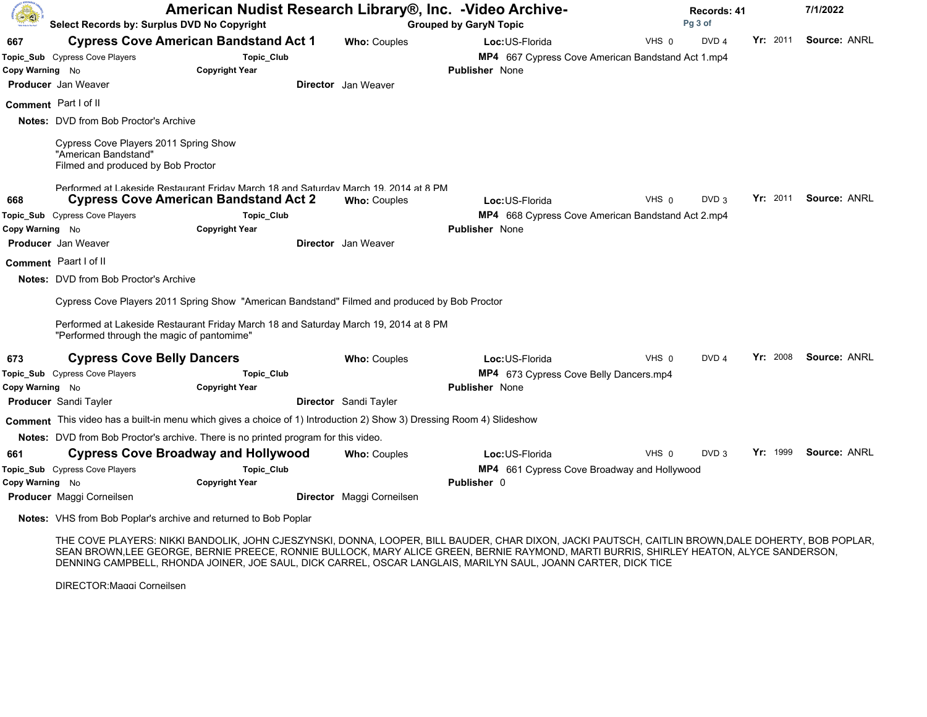| <b>A</b>        | Select Records by: Surplus DVD No Copyright                                                         |                                                                                                                             |                              | American Nudist Research Library®, Inc. -Video Archive-<br><b>Grouped by GaryN Topic</b> |       |                  | Records: 41<br>Pg 3 of |                     |  |
|-----------------|-----------------------------------------------------------------------------------------------------|-----------------------------------------------------------------------------------------------------------------------------|------------------------------|------------------------------------------------------------------------------------------|-------|------------------|------------------------|---------------------|--|
| 667             |                                                                                                     | <b>Cypress Cove American Bandstand Act 1</b>                                                                                | <b>Who: Couples</b>          | Loc: US-Florida                                                                          | VHS 0 | DVD <sub>4</sub> | Yr: 2011               | Source: ANRL        |  |
|                 | Topic_Sub Cypress Cove Players                                                                      | Topic_Club                                                                                                                  |                              | MP4 667 Cypress Cove American Bandstand Act 1.mp4                                        |       |                  |                        |                     |  |
| Copy Warning No |                                                                                                     | <b>Copyright Year</b>                                                                                                       |                              | <b>Publisher None</b>                                                                    |       |                  |                        |                     |  |
|                 | <b>Producer</b> Jan Weaver                                                                          |                                                                                                                             | <b>Director</b> Jan Weaver   |                                                                                          |       |                  |                        |                     |  |
|                 | Comment Part I of II                                                                                |                                                                                                                             |                              |                                                                                          |       |                  |                        |                     |  |
|                 | <b>Notes:</b> DVD from Bob Proctor's Archive                                                        |                                                                                                                             |                              |                                                                                          |       |                  |                        |                     |  |
|                 | Cypress Cove Players 2011 Spring Show<br>"American Bandstand"<br>Filmed and produced by Bob Proctor |                                                                                                                             |                              |                                                                                          |       |                  |                        |                     |  |
|                 |                                                                                                     | Performed at Lakeside Restaurant Friday March 18 and Saturday March 19, 2014 at 8 PM                                        |                              |                                                                                          |       |                  |                        |                     |  |
| 668             |                                                                                                     | <b>Cypress Cove American Bandstand Act 2</b>                                                                                | <b>Who: Couples</b>          | Loc: US-Florida                                                                          | VHS 0 | DVD <sub>3</sub> | Yr: 2011               | <b>Source: ANRL</b> |  |
|                 | Topic_Sub Cypress Cove Players                                                                      | <b>Topic_Club</b>                                                                                                           |                              | MP4 668 Cypress Cove American Bandstand Act 2.mp4                                        |       |                  |                        |                     |  |
| Copy Warning No |                                                                                                     | <b>Copyright Year</b>                                                                                                       |                              | <b>Publisher</b> None                                                                    |       |                  |                        |                     |  |
|                 | Producer Jan Weaver                                                                                 |                                                                                                                             | <b>Director</b> Jan Weaver   |                                                                                          |       |                  |                        |                     |  |
|                 | Comment Paart I of II                                                                               |                                                                                                                             |                              |                                                                                          |       |                  |                        |                     |  |
|                 | <b>Notes: DVD from Bob Proctor's Archive</b>                                                        |                                                                                                                             |                              |                                                                                          |       |                  |                        |                     |  |
|                 |                                                                                                     | Cypress Cove Players 2011 Spring Show "American Bandstand" Filmed and produced by Bob Proctor                               |                              |                                                                                          |       |                  |                        |                     |  |
|                 | "Performed through the magic of pantomime"                                                          | Performed at Lakeside Restaurant Friday March 18 and Saturday March 19, 2014 at 8 PM                                        |                              |                                                                                          |       |                  |                        |                     |  |
| 673             | <b>Cypress Cove Belly Dancers</b>                                                                   |                                                                                                                             | <b>Who: Couples</b>          | Loc: US-Florida                                                                          | VHS 0 | DVD <sub>4</sub> | Yr: 2008               | Source: ANRL        |  |
|                 | Topic_Sub Cypress Cove Players                                                                      | Topic_Club                                                                                                                  |                              | MP4 673 Cypress Cove Belly Dancers.mp4                                                   |       |                  |                        |                     |  |
| Copy Warning No |                                                                                                     | <b>Copyright Year</b>                                                                                                       |                              | <b>Publisher None</b>                                                                    |       |                  |                        |                     |  |
|                 | <b>Producer</b> Sandi Tayler                                                                        |                                                                                                                             | <b>Director</b> Sandi Tayler |                                                                                          |       |                  |                        |                     |  |
|                 |                                                                                                     | <b>Comment</b> This video has a built-in menu which gives a choice of 1) Introduction 2) Show 3) Dressing Room 4) Slideshow |                              |                                                                                          |       |                  |                        |                     |  |
|                 |                                                                                                     | Notes: DVD from Bob Proctor's archive. There is no printed program for this video.                                          |                              |                                                                                          |       |                  |                        |                     |  |
| 661             |                                                                                                     | <b>Cypress Cove Broadway and Hollywood</b>                                                                                  | <b>Who: Couples</b>          | Loc: US-Florida                                                                          | VHS 0 | DVD <sub>3</sub> | Yr: 1999               | Source: ANRL        |  |
|                 | Topic_Sub Cypress Cove Players                                                                      | Topic_Club                                                                                                                  |                              | MP4 661 Cypress Cove Broadway and Hollywood                                              |       |                  |                        |                     |  |
| Copy Warning No |                                                                                                     | <b>Copyright Year</b>                                                                                                       |                              | <b>Publisher</b> 0                                                                       |       |                  |                        |                     |  |
|                 | <b>Producer</b> Maggi Corneilsen                                                                    |                                                                                                                             | Director Maggi Corneilsen    |                                                                                          |       |                  |                        |                     |  |

Notes: VHS from Bob Poplar's archive and returned to Bob Poplar

THE COVE PLAYERS: NIKKI BANDOLIK, JOHN CJESZYNSKI, DONNA, LOOPER, BILL BAUDER, CHAR DIXON, JACKI PAUTSCH, CAITLIN BROWN,DALE DOHERTY, BOB POPLAR, SEAN BROWN,LEE GEORGE, BERNIE PREECE, RONNIE BULLOCK, MARY ALICE GREEN, BERNIE RAYMOND, MARTI BURRIS, SHIRLEY HEATON, ALYCE SANDERSON, DENNING CAMPBELL, RHONDA JOINER, JOE SAUL, DICK CARREL, OSCAR LANGLAIS, MARILYN SAUL, JOANN CARTER, DICK TICE

DIRECTOR:Maggi Corneilsen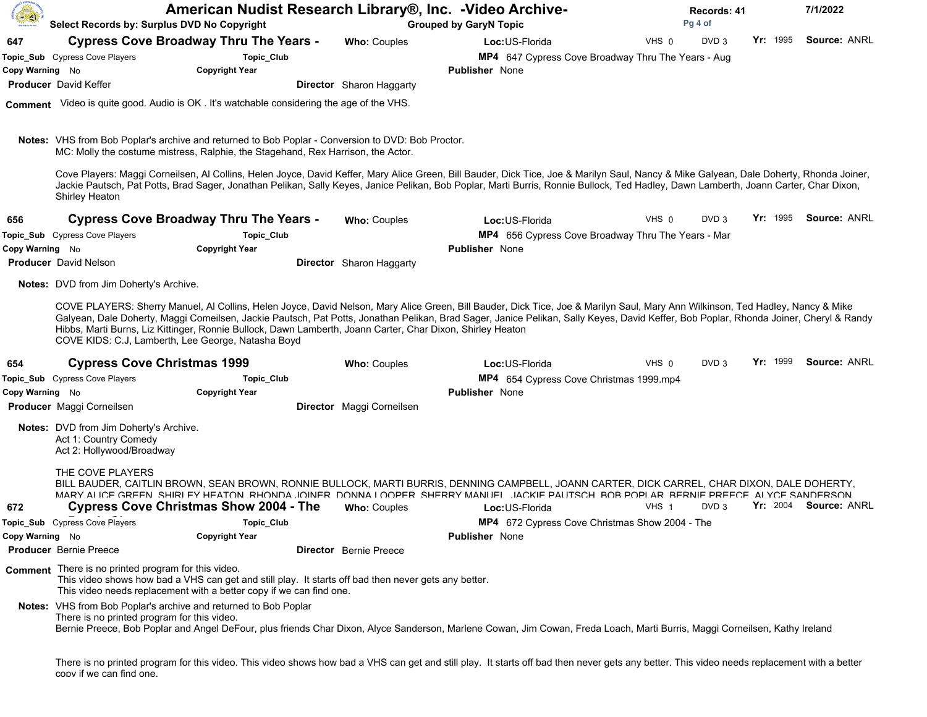| 60              | Select Records by: Surplus DVD No Copyright                                                         | American Nudist Research Library®, Inc. -Video Archive-                                                                                                                                      | <b>Grouped by GaryN Topic</b>   |                                                                                                                                                                                                                                                                                                                                                                                 | Records: 41<br>Pg 4 of |                  |          |                       |
|-----------------|-----------------------------------------------------------------------------------------------------|----------------------------------------------------------------------------------------------------------------------------------------------------------------------------------------------|---------------------------------|---------------------------------------------------------------------------------------------------------------------------------------------------------------------------------------------------------------------------------------------------------------------------------------------------------------------------------------------------------------------------------|------------------------|------------------|----------|-----------------------|
| 647             |                                                                                                     | <b>Cypress Cove Broadway Thru The Years -</b>                                                                                                                                                | Who: Couples                    | Loc: US-Florida                                                                                                                                                                                                                                                                                                                                                                 | VHS 0                  | DVD <sub>3</sub> | Yr: 1995 | Source: ANRL          |
|                 | Topic_Sub Cypress Cove Players                                                                      | Topic_Club                                                                                                                                                                                   |                                 | MP4 647 Cypress Cove Broadway Thru The Years - Aug                                                                                                                                                                                                                                                                                                                              |                        |                  |          |                       |
| Copy Warning No |                                                                                                     | <b>Copyright Year</b>                                                                                                                                                                        |                                 | <b>Publisher</b> None                                                                                                                                                                                                                                                                                                                                                           |                        |                  |          |                       |
|                 | <b>Producer</b> David Keffer                                                                        |                                                                                                                                                                                              | <b>Director</b> Sharon Haggarty |                                                                                                                                                                                                                                                                                                                                                                                 |                        |                  |          |                       |
|                 |                                                                                                     | Comment Video is quite good. Audio is OK . It's watchable considering the age of the VHS.                                                                                                    |                                 |                                                                                                                                                                                                                                                                                                                                                                                 |                        |                  |          |                       |
|                 |                                                                                                     | <b>Notes:</b> VHS from Bob Poplar's archive and returned to Bob Poplar - Conversion to DVD: Bob Proctor.<br>MC: Molly the costume mistress, Ralphie, the Stagehand, Rex Harrison, the Actor. |                                 |                                                                                                                                                                                                                                                                                                                                                                                 |                        |                  |          |                       |
|                 | Shirley Heaton                                                                                      |                                                                                                                                                                                              |                                 | Cove Players: Maggi Corneilsen, Al Collins, Helen Joyce, David Keffer, Mary Alice Green, Bill Bauder, Dick Tice, Joe & Marilyn Saul, Nancy & Mike Galyean, Dale Doherty, Rhonda Joiner,<br>Jackie Pautsch, Pat Potts, Brad Sager, Jonathan Pelikan, Sally Keyes, Janice Pelikan, Bob Poplar, Marti Burris, Ronnie Bullock, Ted Hadley, Dawn Lamberth, Joann Carter, Char Dixon, |                        |                  |          |                       |
| 656             |                                                                                                     | <b>Cypress Cove Broadway Thru The Years -</b>                                                                                                                                                | <b>Who: Couples</b>             | Loc:US-Florida                                                                                                                                                                                                                                                                                                                                                                  | VHS 0                  | DVD <sub>3</sub> | Yr: 1995 | Source: ANRL          |
|                 | Topic_Sub Cypress Cove Players                                                                      | Topic_Club                                                                                                                                                                                   |                                 | MP4 656 Cypress Cove Broadway Thru The Years - Mar                                                                                                                                                                                                                                                                                                                              |                        |                  |          |                       |
| Copy Warning No |                                                                                                     | <b>Copyright Year</b>                                                                                                                                                                        |                                 | <b>Publisher</b> None                                                                                                                                                                                                                                                                                                                                                           |                        |                  |          |                       |
|                 | <b>Producer</b> David Nelson                                                                        |                                                                                                                                                                                              | Director Sharon Haggarty        |                                                                                                                                                                                                                                                                                                                                                                                 |                        |                  |          |                       |
|                 | <b>Notes:</b> DVD from Jim Doherty's Archive.                                                       |                                                                                                                                                                                              |                                 |                                                                                                                                                                                                                                                                                                                                                                                 |                        |                  |          |                       |
|                 |                                                                                                     | Hibbs, Marti Burns, Liz Kittinger, Ronnie Bullock, Dawn Lamberth, Joann Carter, Char Dixon, Shirley Heaton<br>COVE KIDS: C.J, Lamberth, Lee George, Natasha Boyd                             |                                 | COVE PLAYERS: Sherry Manuel, Al Collins, Helen Joyce, David Nelson, Mary Alice Green, Bill Bauder, Dick Tice, Joe & Marilyn Saul, Mary Ann Wilkinson, Ted Hadley, Nancy & Mike<br>Galyean, Dale Doherty, Maggi Comeilsen, Jackie Pautsch, Pat Potts, Jonathan Pelikan, Brad Sager, Janice Pelikan, Sally Keyes, David Keffer, Bob Poplar, Rhonda Joiner, Cheryl & Randy         |                        |                  |          |                       |
| 654             | <b>Cypress Cove Christmas 1999</b>                                                                  |                                                                                                                                                                                              | <b>Who: Couples</b>             | Loc:US-Florida                                                                                                                                                                                                                                                                                                                                                                  | VHS 0                  | DVD <sub>3</sub> | Yr: 1999 | Source: ANRL          |
|                 | Topic_Sub Cypress Cove Players                                                                      | Topic_Club                                                                                                                                                                                   |                                 | MP4 654 Cypress Cove Christmas 1999.mp4                                                                                                                                                                                                                                                                                                                                         |                        |                  |          |                       |
| Copy Warning No |                                                                                                     | <b>Copyright Year</b>                                                                                                                                                                        |                                 | <b>Publisher</b> None                                                                                                                                                                                                                                                                                                                                                           |                        |                  |          |                       |
|                 | Producer Maggi Corneilsen                                                                           |                                                                                                                                                                                              | Director Maggi Corneilsen       |                                                                                                                                                                                                                                                                                                                                                                                 |                        |                  |          |                       |
|                 | <b>Notes:</b> DVD from Jim Doherty's Archive.<br>Act 1: Country Comedy<br>Act 2: Hollywood/Broadway |                                                                                                                                                                                              |                                 |                                                                                                                                                                                                                                                                                                                                                                                 |                        |                  |          |                       |
|                 | THE COVE PLAYERS                                                                                    |                                                                                                                                                                                              |                                 | BILL BAUDER, CAITLIN BROWN, SEAN BROWN, RONNIE BULLOCK, MARTI BURRIS, DENNING CAMPBELL, JOANN CARTER, DICK CARREL, CHAR DIXON, DALE DOHERTY,<br>MARY ALICE GREEN SHIRLEY HEATON RHONDA JOINER DONNA LOOPER SHERRY MANUEL JACKIE PAUTSCH BOR POPLAR RERNIE PREECE ALYCE SANDERSON                                                                                                |                        |                  |          |                       |
| 672             |                                                                                                     | <b>Cypress Cove Christmas Show 2004 - The</b>                                                                                                                                                | <b>Who: Couples</b>             | Loc: US-Florida                                                                                                                                                                                                                                                                                                                                                                 | VHS <sub>1</sub>       | DVD <sub>3</sub> |          | Yr: 2004 Source: ANRL |
|                 | Topic_Sub Cypress Cove Players                                                                      | Topic_Club                                                                                                                                                                                   |                                 | MP4 672 Cypress Cove Christmas Show 2004 - The                                                                                                                                                                                                                                                                                                                                  |                        |                  |          |                       |
| Copy Warning No |                                                                                                     | <b>Copyright Year</b>                                                                                                                                                                        |                                 | Publisher None                                                                                                                                                                                                                                                                                                                                                                  |                        |                  |          |                       |
|                 | <b>Producer</b> Bernie Preece                                                                       |                                                                                                                                                                                              | <b>Director</b> Bernie Preece   |                                                                                                                                                                                                                                                                                                                                                                                 |                        |                  |          |                       |
|                 | Comment There is no printed program for this video.                                                 | This video shows how bad a VHS can get and still play. It starts off bad then never gets any better.<br>This video needs replacement with a better copy if we can find one.                  |                                 |                                                                                                                                                                                                                                                                                                                                                                                 |                        |                  |          |                       |
|                 | There is no printed program for this video.                                                         | Notes: VHS from Bob Poplar's archive and returned to Bob Poplar                                                                                                                              |                                 | Bernie Preece, Bob Poplar and Angel DeFour, plus friends Char Dixon, Alyce Sanderson, Marlene Cowan, Jim Cowan, Freda Loach, Marti Burris, Maggi Corneilsen, Kathy Ireland                                                                                                                                                                                                      |                        |                  |          |                       |
|                 | copy if we can find one.                                                                            |                                                                                                                                                                                              |                                 | There is no printed program for this video. This video shows how bad a VHS can get and still play. It starts off bad then never gets any better. This video needs replacement with a better                                                                                                                                                                                     |                        |                  |          |                       |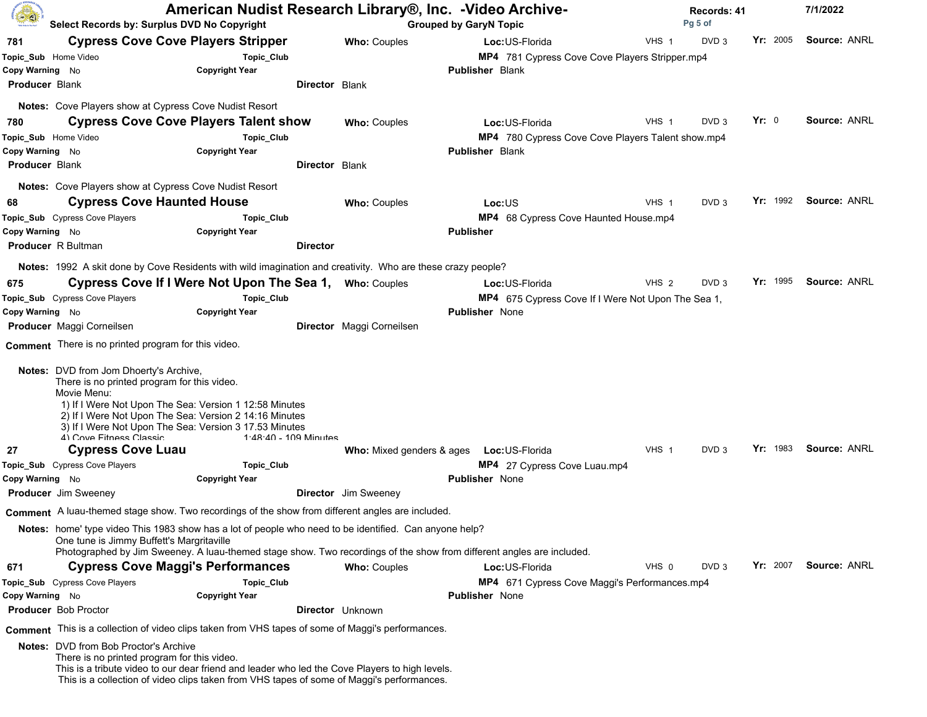| <b>Co</b>             | Select Records by: Surplus DVD No Copyright                                                                                                                                                                                                                                                |                                     |                             | American Nudist Research Library®, Inc. -Video Archive-<br><b>Grouped by GaryN Topic</b>                              |                  |                  | Records: 41<br>Pg 5 of |                     |  |
|-----------------------|--------------------------------------------------------------------------------------------------------------------------------------------------------------------------------------------------------------------------------------------------------------------------------------------|-------------------------------------|-----------------------------|-----------------------------------------------------------------------------------------------------------------------|------------------|------------------|------------------------|---------------------|--|
| 781                   | <b>Cypress Cove Cove Players Stripper</b>                                                                                                                                                                                                                                                  |                                     | <b>Who: Couples</b>         | Loc:US-Florida                                                                                                        | VHS 1            | DVD <sub>3</sub> | Yr: 2005               | <b>Source: ANRL</b> |  |
| Topic_Sub Home Video  |                                                                                                                                                                                                                                                                                            | Topic_Club                          |                             | MP4 781 Cypress Cove Cove Players Stripper.mp4                                                                        |                  |                  |                        |                     |  |
| Copy Warning No       |                                                                                                                                                                                                                                                                                            | <b>Copyright Year</b>               |                             | <b>Publisher Blank</b>                                                                                                |                  |                  |                        |                     |  |
| <b>Producer Blank</b> |                                                                                                                                                                                                                                                                                            |                                     | <b>Director Blank</b>       |                                                                                                                       |                  |                  |                        |                     |  |
|                       | <b>Notes:</b> Cove Players show at Cypress Cove Nudist Resort                                                                                                                                                                                                                              |                                     |                             |                                                                                                                       |                  |                  |                        |                     |  |
| 780                   | <b>Cypress Cove Cove Players Talent show</b>                                                                                                                                                                                                                                               |                                     | <b>Who: Couples</b>         | Loc: US-Florida                                                                                                       | $VHS$ 1          | DVD <sub>3</sub> | Yr: 0                  | Source: ANRL        |  |
| Topic_Sub Home Video  |                                                                                                                                                                                                                                                                                            | <b>Topic_Club</b>                   |                             | MP4 780 Cypress Cove Cove Players Talent show.mp4                                                                     |                  |                  |                        |                     |  |
| Copy Warning No       |                                                                                                                                                                                                                                                                                            | <b>Copyright Year</b>               |                             | <b>Publisher Blank</b>                                                                                                |                  |                  |                        |                     |  |
| <b>Producer Blank</b> |                                                                                                                                                                                                                                                                                            |                                     | <b>Director Blank</b>       |                                                                                                                       |                  |                  |                        |                     |  |
|                       | Notes: Cove Players show at Cypress Cove Nudist Resort                                                                                                                                                                                                                                     |                                     |                             |                                                                                                                       |                  |                  |                        |                     |  |
| 68                    | <b>Cypress Cove Haunted House</b>                                                                                                                                                                                                                                                          |                                     | Who: Couples                | Loc:US                                                                                                                | VHS 1            | DVD <sub>3</sub> | $Yr$ : 1992            | Source: ANRL        |  |
|                       | Topic_Sub Cypress Cove Players                                                                                                                                                                                                                                                             | Topic_Club                          |                             | MP4 68 Cypress Cove Haunted House.mp4                                                                                 |                  |                  |                        |                     |  |
| Copy Warning No       |                                                                                                                                                                                                                                                                                            | <b>Copyright Year</b>               |                             | <b>Publisher</b>                                                                                                      |                  |                  |                        |                     |  |
|                       | <b>Producer</b> R Bultman                                                                                                                                                                                                                                                                  | <b>Director</b>                     |                             |                                                                                                                       |                  |                  |                        |                     |  |
|                       | Notes: 1992 A skit done by Cove Residents with wild imagination and creativity. Who are these crazy people?                                                                                                                                                                                |                                     |                             |                                                                                                                       |                  |                  |                        |                     |  |
| 675                   | Cypress Cove If I Were Not Upon The Sea 1,                                                                                                                                                                                                                                                 |                                     | <b>Who: Couples</b>         | Loc:US-Florida                                                                                                        | VHS 2            | DVD <sub>3</sub> | Yr: 1995               | <b>Source: ANRL</b> |  |
|                       | Topic_Sub Cypress Cove Players                                                                                                                                                                                                                                                             | Topic_Club                          |                             | MP4 675 Cypress Cove If I Were Not Upon The Sea 1,                                                                    |                  |                  |                        |                     |  |
| Copy Warning No       |                                                                                                                                                                                                                                                                                            | <b>Copyright Year</b>               |                             | <b>Publisher</b> None                                                                                                 |                  |                  |                        |                     |  |
|                       | Producer Maggi Corneilsen                                                                                                                                                                                                                                                                  |                                     | Director Maggi Corneilsen   |                                                                                                                       |                  |                  |                        |                     |  |
|                       | Comment There is no printed program for this video.                                                                                                                                                                                                                                        |                                     |                             |                                                                                                                       |                  |                  |                        |                     |  |
|                       | Notes: DVD from Jom Dhoerty's Archive,<br>There is no printed program for this video.<br>Movie Menu:<br>1) If I Were Not Upon The Sea: Version 1 12:58 Minutes<br>2) If I Were Not Upon The Sea: Version 2 14:16 Minutes<br>3) If I Were Not Upon The Sea: Version 3 17.53 Minutes         |                                     |                             |                                                                                                                       |                  |                  |                        |                     |  |
|                       | 4) Cove Fitness Classic                                                                                                                                                                                                                                                                    | 1.48.40 - 109 Minutes               |                             |                                                                                                                       | VHS <sub>1</sub> | DVD <sub>3</sub> | Yr: 1983               | <b>Source: ANRL</b> |  |
| 27                    | <b>Cypress Cove Luau</b><br>Topic_Sub Cypress Cove Players                                                                                                                                                                                                                                 |                                     |                             | Who: Mixed genders & ages  Loc: US-Florida                                                                            |                  |                  |                        |                     |  |
| Copy Warning No       |                                                                                                                                                                                                                                                                                            | Topic_Club<br><b>Copyright Year</b> |                             | MP4 27 Cypress Cove Luau.mp4<br><b>Publisher</b> None                                                                 |                  |                  |                        |                     |  |
|                       | <b>Producer</b> Jim Sweeney                                                                                                                                                                                                                                                                |                                     | <b>Director</b> Jim Sweeney |                                                                                                                       |                  |                  |                        |                     |  |
|                       | Comment A luau-themed stage show. Two recordings of the show from different angles are included.                                                                                                                                                                                           |                                     |                             |                                                                                                                       |                  |                  |                        |                     |  |
|                       | Notes: home' type video This 1983 show has a lot of people who need to be identified. Can anyone help?                                                                                                                                                                                     |                                     |                             |                                                                                                                       |                  |                  |                        |                     |  |
|                       | One tune is Jimmy Buffett's Margritaville                                                                                                                                                                                                                                                  |                                     |                             | Photographed by Jim Sweeney. A luau-themed stage show. Two recordings of the show from different angles are included. |                  |                  |                        |                     |  |
| 671                   | <b>Cypress Cove Maggi's Performances</b>                                                                                                                                                                                                                                                   |                                     | <b>Who: Couples</b>         | Loc:US-Florida                                                                                                        | VHS 0            | DVD <sub>3</sub> | Yr: 2007               | Source: ANRL        |  |
|                       | Topic_Sub Cypress Cove Players                                                                                                                                                                                                                                                             | Topic_Club                          |                             | MP4 671 Cypress Cove Maggi's Performances.mp4                                                                         |                  |                  |                        |                     |  |
| Copy Warning No       |                                                                                                                                                                                                                                                                                            | <b>Copyright Year</b>               |                             | <b>Publisher</b> None                                                                                                 |                  |                  |                        |                     |  |
|                       | Producer Bob Proctor                                                                                                                                                                                                                                                                       |                                     | Director Unknown            |                                                                                                                       |                  |                  |                        |                     |  |
|                       | Comment This is a collection of video clips taken from VHS tapes of some of Maggi's performances.                                                                                                                                                                                          |                                     |                             |                                                                                                                       |                  |                  |                        |                     |  |
|                       | <b>Notes:</b> DVD from Bob Proctor's Archive<br>There is no printed program for this video.<br>This is a tribute video to our dear friend and leader who led the Cove Players to high levels.<br>This is a collection of video clips taken from VHS tapes of some of Maggi's performances. |                                     |                             |                                                                                                                       |                  |                  |                        |                     |  |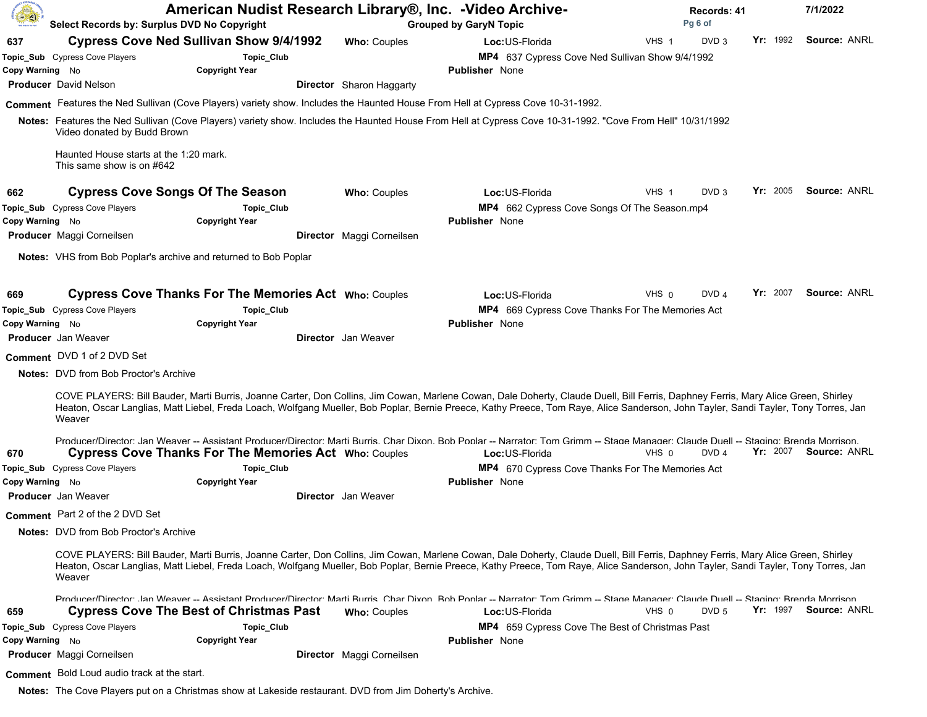| Â               | American Nudist Research Library®, Inc. -Video Archive-<br>Select Records by: Surplus DVD No Copyright |                                                                                                         | <b>Grouped by GaryN Topic</b> |                                 | <b>Records: 41</b><br>Pg 6 of                                                                                                                                                                                                                                                                                                                                            |         |                  | 7/1/2022 |  |                       |  |
|-----------------|--------------------------------------------------------------------------------------------------------|---------------------------------------------------------------------------------------------------------|-------------------------------|---------------------------------|--------------------------------------------------------------------------------------------------------------------------------------------------------------------------------------------------------------------------------------------------------------------------------------------------------------------------------------------------------------------------|---------|------------------|----------|--|-----------------------|--|
| 637             |                                                                                                        | <b>Cypress Cove Ned Sullivan Show 9/4/1992</b>                                                          |                               | <b>Who: Couples</b>             | Loc:US-Florida                                                                                                                                                                                                                                                                                                                                                           | VHS 1   | DVD <sub>3</sub> | Yr: 1992 |  | Source: ANRL          |  |
|                 | Topic_Sub Cypress Cove Players                                                                         | Topic_Club                                                                                              |                               |                                 | MP4 637 Cypress Cove Ned Sullivan Show 9/4/1992                                                                                                                                                                                                                                                                                                                          |         |                  |          |  |                       |  |
| Copy Warning No |                                                                                                        | <b>Copyright Year</b>                                                                                   |                               |                                 | <b>Publisher</b> None                                                                                                                                                                                                                                                                                                                                                    |         |                  |          |  |                       |  |
|                 | <b>Producer</b> David Nelson                                                                           |                                                                                                         |                               | <b>Director</b> Sharon Haggarty |                                                                                                                                                                                                                                                                                                                                                                          |         |                  |          |  |                       |  |
|                 |                                                                                                        |                                                                                                         |                               |                                 | Comment Features the Ned Sullivan (Cove Players) variety show. Includes the Haunted House From Hell at Cypress Cove 10-31-1992.                                                                                                                                                                                                                                          |         |                  |          |  |                       |  |
|                 | Video donated by Budd Brown                                                                            |                                                                                                         |                               |                                 | Notes: Features the Ned Sullivan (Cove Players) variety show. Includes the Haunted House From Hell at Cypress Cove 10-31-1992. "Cove From Hell" 10/31/1992                                                                                                                                                                                                               |         |                  |          |  |                       |  |
|                 | Haunted House starts at the 1:20 mark.<br>This same show is on #642                                    |                                                                                                         |                               |                                 |                                                                                                                                                                                                                                                                                                                                                                          |         |                  |          |  |                       |  |
| 662             |                                                                                                        | <b>Cypress Cove Songs Of The Season</b>                                                                 |                               | <b>Who: Couples</b>             | Loc: US-Florida                                                                                                                                                                                                                                                                                                                                                          | VHS 1   | DVD <sub>3</sub> | Yr: 2005 |  | Source: ANRL          |  |
|                 | Topic_Sub Cypress Cove Players                                                                         | Topic_Club                                                                                              |                               |                                 | MP4 662 Cypress Cove Songs Of The Season.mp4                                                                                                                                                                                                                                                                                                                             |         |                  |          |  |                       |  |
| Copy Warning No |                                                                                                        | <b>Copyright Year</b>                                                                                   |                               |                                 | <b>Publisher</b> None                                                                                                                                                                                                                                                                                                                                                    |         |                  |          |  |                       |  |
|                 | Producer Maggi Corneilsen                                                                              |                                                                                                         |                               | Director Maggi Corneilsen       |                                                                                                                                                                                                                                                                                                                                                                          |         |                  |          |  |                       |  |
|                 |                                                                                                        | Notes: VHS from Bob Poplar's archive and returned to Bob Poplar                                         |                               |                                 |                                                                                                                                                                                                                                                                                                                                                                          |         |                  |          |  |                       |  |
| 669             |                                                                                                        | <b>Cypress Cove Thanks For The Memories Act Who: Couples</b>                                            |                               |                                 | Loc:US-Florida                                                                                                                                                                                                                                                                                                                                                           | VHS 0   | DVD <sub>4</sub> | Yr: 2007 |  | Source: ANRL          |  |
|                 | Topic_Sub Cypress Cove Players                                                                         | Topic_Club                                                                                              |                               |                                 | MP4 669 Cypress Cove Thanks For The Memories Act                                                                                                                                                                                                                                                                                                                         |         |                  |          |  |                       |  |
| Copy Warning No |                                                                                                        | <b>Copyright Year</b>                                                                                   |                               |                                 | <b>Publisher</b> None                                                                                                                                                                                                                                                                                                                                                    |         |                  |          |  |                       |  |
|                 | <b>Producer</b> Jan Weaver                                                                             |                                                                                                         |                               | <b>Director</b> Jan Weaver      |                                                                                                                                                                                                                                                                                                                                                                          |         |                  |          |  |                       |  |
|                 | Comment DVD 1 of 2 DVD Set                                                                             |                                                                                                         |                               |                                 |                                                                                                                                                                                                                                                                                                                                                                          |         |                  |          |  |                       |  |
|                 | <b>Notes:</b> DVD from Bob Proctor's Archive                                                           |                                                                                                         |                               |                                 |                                                                                                                                                                                                                                                                                                                                                                          |         |                  |          |  |                       |  |
|                 | Weaver                                                                                                 |                                                                                                         |                               |                                 | COVE PLAYERS: Bill Bauder, Marti Burris, Joanne Carter, Don Collins, Jim Cowan, Marlene Cowan, Dale Doherty, Claude Duell, Bill Ferris, Daphney Ferris, Mary Alice Green, Shirley<br>Heaton, Oscar Langlias, Matt Liebel, Freda Loach, Wolfgang Mueller, Bob Poplar, Bernie Preece, Kathy Preece, Tom Raye, Alice Sanderson, John Tayler, Sandi Tayler, Tony Torres, Jan |         |                  |          |  |                       |  |
| 670             |                                                                                                        | <b>Cypress Cove Thanks For The Memories Act Who: Couples</b>                                            |                               |                                 | Producer/Director: Jan Weaver -- Assistant Producer/Director: Marti Burris: Char Dixon, Bob Ponlar -- Narrator: Tom Grimm -- Stage Manager: Claude Duell -- Staging: Brenda Morrison<br>Loc:US-Florida                                                                                                                                                                   | $VHS$ 0 | DVD 4            | Yr: 2007 |  | Source: ANRL          |  |
|                 | Topic_Sub Cypress Cove Players                                                                         | Topic_Club                                                                                              |                               |                                 | MP4 670 Cypress Cove Thanks For The Memories Act                                                                                                                                                                                                                                                                                                                         |         |                  |          |  |                       |  |
| Copy Warning No |                                                                                                        | <b>Copyright Year</b>                                                                                   |                               |                                 | <b>Publisher None</b>                                                                                                                                                                                                                                                                                                                                                    |         |                  |          |  |                       |  |
|                 | <b>Producer</b> Jan Weaver                                                                             |                                                                                                         |                               | <b>Director</b> Jan Weaver      |                                                                                                                                                                                                                                                                                                                                                                          |         |                  |          |  |                       |  |
|                 | Comment Part 2 of the 2 DVD Set                                                                        |                                                                                                         |                               |                                 |                                                                                                                                                                                                                                                                                                                                                                          |         |                  |          |  |                       |  |
|                 | <b>Notes:</b> DVD from Bob Proctor's Archive                                                           |                                                                                                         |                               |                                 |                                                                                                                                                                                                                                                                                                                                                                          |         |                  |          |  |                       |  |
|                 |                                                                                                        |                                                                                                         |                               |                                 |                                                                                                                                                                                                                                                                                                                                                                          |         |                  |          |  |                       |  |
|                 | Weaver                                                                                                 |                                                                                                         |                               |                                 | COVE PLAYERS: Bill Bauder, Marti Burris, Joanne Carter, Don Collins, Jim Cowan, Marlene Cowan, Dale Doherty, Claude Duell, Bill Ferris, Daphney Ferris, Mary Alice Green, Shirley<br>Heaton, Oscar Langlias, Matt Liebel, Freda Loach, Wolfgang Mueller, Bob Poplar, Bernie Preece, Kathy Preece, Tom Raye, Alice Sanderson, John Tayler, Sandi Tayler, Tony Torres, Jan |         |                  |          |  |                       |  |
| 659             |                                                                                                        | <b>Cypress Cove The Best of Christmas Past</b>                                                          |                               | <b>Who: Couples</b>             | Producer/Director: Jan Weaver -- Assistant Producer/Director: Marti Rurris: Char Dixon: Rob Ponlar -- Narrator: Tom Grimm -- Stage Manager: Claude Duell -- Staging: Rrenda Morrison<br>Loc: US-Florida                                                                                                                                                                  | VHS 0   | DVD 5            |          |  | Yr: 1997 Source: ANRL |  |
|                 | Topic_Sub Cypress Cove Players                                                                         | Topic_Club                                                                                              |                               |                                 | MP4 659 Cypress Cove The Best of Christmas Past                                                                                                                                                                                                                                                                                                                          |         |                  |          |  |                       |  |
| Copy Warning No |                                                                                                        | <b>Copyright Year</b>                                                                                   |                               |                                 | <b>Publisher</b> None                                                                                                                                                                                                                                                                                                                                                    |         |                  |          |  |                       |  |
|                 | <b>Producer</b> Maggi Corneilsen                                                                       |                                                                                                         |                               | Director Maggi Corneilsen       |                                                                                                                                                                                                                                                                                                                                                                          |         |                  |          |  |                       |  |
|                 | Comment Bold Loud audio track at the start.                                                            |                                                                                                         |                               |                                 |                                                                                                                                                                                                                                                                                                                                                                          |         |                  |          |  |                       |  |
|                 |                                                                                                        | Notes: The Cove Players put on a Christmas show at Lakeside restaurant. DVD from Jim Doherty's Archive. |                               |                                 |                                                                                                                                                                                                                                                                                                                                                                          |         |                  |          |  |                       |  |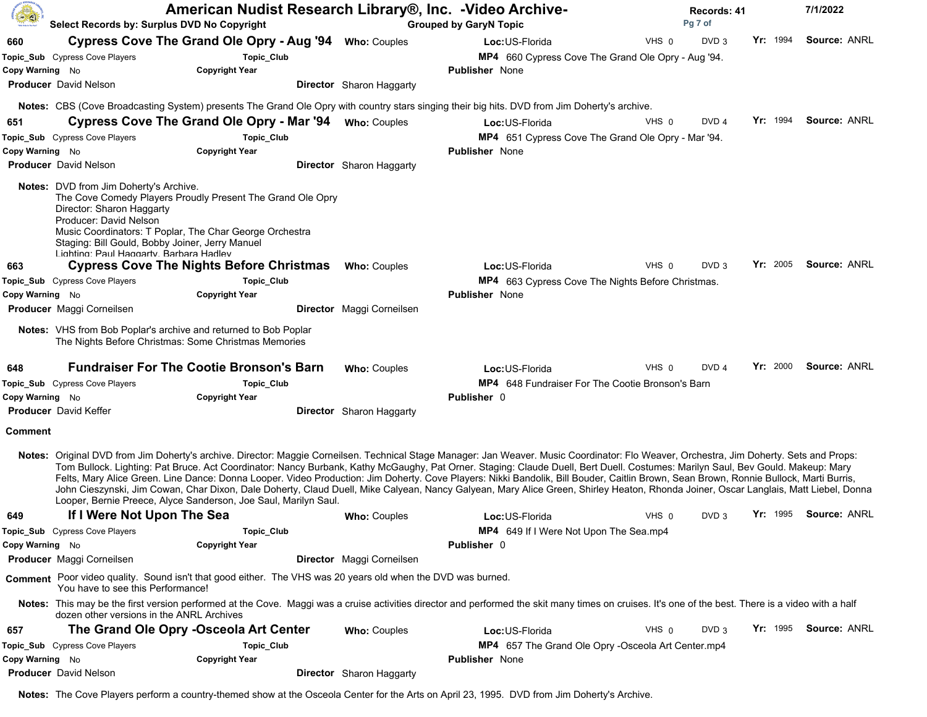|                 | Select Records by: Surplus DVD No Copyright                                                                                                                                                                                                                   | American Nudist Research Library®, Inc. - Video Archive-                                                    |                                 | <b>Grouped by GaryN Topic</b>                                                                                                                                                                                                                                                                                                                                                                                                                                                                                                                                                                                                                                                                                                                               |         | Records: 41<br>Pq 7 of |          | 7/1/2022              |  |
|-----------------|---------------------------------------------------------------------------------------------------------------------------------------------------------------------------------------------------------------------------------------------------------------|-------------------------------------------------------------------------------------------------------------|---------------------------------|-------------------------------------------------------------------------------------------------------------------------------------------------------------------------------------------------------------------------------------------------------------------------------------------------------------------------------------------------------------------------------------------------------------------------------------------------------------------------------------------------------------------------------------------------------------------------------------------------------------------------------------------------------------------------------------------------------------------------------------------------------------|---------|------------------------|----------|-----------------------|--|
| 660             |                                                                                                                                                                                                                                                               | Cypress Cove The Grand Ole Opry - Aug '94 Who: Couples                                                      |                                 | Loc: US-Florida                                                                                                                                                                                                                                                                                                                                                                                                                                                                                                                                                                                                                                                                                                                                             | VHS 0   | DVD <sub>3</sub>       | Yr: 1994 | <b>Source: ANRL</b>   |  |
|                 | Topic_Sub Cypress Cove Players                                                                                                                                                                                                                                | Topic_Club                                                                                                  |                                 | MP4 660 Cypress Cove The Grand Ole Opry - Aug '94.                                                                                                                                                                                                                                                                                                                                                                                                                                                                                                                                                                                                                                                                                                          |         |                        |          |                       |  |
| Copy Warning No |                                                                                                                                                                                                                                                               | <b>Copyright Year</b>                                                                                       |                                 | <b>Publisher</b> None                                                                                                                                                                                                                                                                                                                                                                                                                                                                                                                                                                                                                                                                                                                                       |         |                        |          |                       |  |
|                 | <b>Producer</b> David Nelson                                                                                                                                                                                                                                  |                                                                                                             | <b>Director</b> Sharon Haggarty |                                                                                                                                                                                                                                                                                                                                                                                                                                                                                                                                                                                                                                                                                                                                                             |         |                        |          |                       |  |
|                 |                                                                                                                                                                                                                                                               |                                                                                                             |                                 | Notes: CBS (Cove Broadcasting System) presents The Grand Ole Opry with country stars singing their big hits. DVD from Jim Doherty's archive.                                                                                                                                                                                                                                                                                                                                                                                                                                                                                                                                                                                                                |         |                        |          |                       |  |
| 651             |                                                                                                                                                                                                                                                               | Cypress Cove The Grand Ole Opry - Mar '94 Who: Couples                                                      |                                 | Loc:US-Florida                                                                                                                                                                                                                                                                                                                                                                                                                                                                                                                                                                                                                                                                                                                                              | VHS 0   | DVD <sub>4</sub>       | Yr: 1994 | <b>Source: ANRL</b>   |  |
|                 | Topic_Sub Cypress Cove Players                                                                                                                                                                                                                                | Topic_Club                                                                                                  |                                 | MP4 651 Cypress Cove The Grand Ole Opry - Mar '94.                                                                                                                                                                                                                                                                                                                                                                                                                                                                                                                                                                                                                                                                                                          |         |                        |          |                       |  |
| Copy Warning No |                                                                                                                                                                                                                                                               | <b>Copyright Year</b>                                                                                       |                                 | <b>Publisher</b> None                                                                                                                                                                                                                                                                                                                                                                                                                                                                                                                                                                                                                                                                                                                                       |         |                        |          |                       |  |
|                 | <b>Producer</b> David Nelson                                                                                                                                                                                                                                  |                                                                                                             | Director Sharon Haggarty        |                                                                                                                                                                                                                                                                                                                                                                                                                                                                                                                                                                                                                                                                                                                                                             |         |                        |          |                       |  |
|                 | <b>Notes:</b> DVD from Jim Doherty's Archive.<br>Director: Sharon Haggarty<br>Producer: David Nelson<br>Music Coordinators: T Poplar, The Char George Orchestra<br>Staging: Bill Gould, Bobby Joiner, Jerry Manuel<br>Lighting: Paul Haggarty, Barbara Hadley | The Cove Comedy Players Proudly Present The Grand Ole Opry                                                  |                                 |                                                                                                                                                                                                                                                                                                                                                                                                                                                                                                                                                                                                                                                                                                                                                             |         |                        |          |                       |  |
| 663             |                                                                                                                                                                                                                                                               | <b>Cypress Cove The Nights Before Christmas</b>                                                             | <b>Who: Couples</b>             | Loc: US-Florida                                                                                                                                                                                                                                                                                                                                                                                                                                                                                                                                                                                                                                                                                                                                             | VHS 0   | DVD <sub>3</sub>       | Yr: 2005 | Source: ANRL          |  |
|                 | Topic_Sub Cypress Cove Players                                                                                                                                                                                                                                | Topic_Club                                                                                                  |                                 | <b>MP4</b> 663 Cypress Cove The Nights Before Christmas.                                                                                                                                                                                                                                                                                                                                                                                                                                                                                                                                                                                                                                                                                                    |         |                        |          |                       |  |
| Copy Warning No |                                                                                                                                                                                                                                                               | <b>Copyright Year</b>                                                                                       |                                 | <b>Publisher</b> None                                                                                                                                                                                                                                                                                                                                                                                                                                                                                                                                                                                                                                                                                                                                       |         |                        |          |                       |  |
|                 | <b>Producer</b> Maggi Corneilsen                                                                                                                                                                                                                              |                                                                                                             | Director Maggi Corneilsen       |                                                                                                                                                                                                                                                                                                                                                                                                                                                                                                                                                                                                                                                                                                                                                             |         |                        |          |                       |  |
|                 | <b>Notes:</b> VHS from Bob Poplar's archive and returned to Bob Poplar<br>The Nights Before Christmas: Some Christmas Memories                                                                                                                                |                                                                                                             |                                 |                                                                                                                                                                                                                                                                                                                                                                                                                                                                                                                                                                                                                                                                                                                                                             |         |                        |          |                       |  |
| 648             |                                                                                                                                                                                                                                                               | <b>Fundraiser For The Cootie Bronson's Barn</b>                                                             | <b>Who: Couples</b>             | Loc:US-Florida                                                                                                                                                                                                                                                                                                                                                                                                                                                                                                                                                                                                                                                                                                                                              | $VHS$ 0 | DVD <sub>4</sub>       | Yr: 2000 | Source: ANRL          |  |
|                 | Topic_Sub Cypress Cove Players                                                                                                                                                                                                                                | Topic_Club                                                                                                  |                                 | <b>MP4</b> 648 Fundraiser For The Cootie Bronson's Barn                                                                                                                                                                                                                                                                                                                                                                                                                                                                                                                                                                                                                                                                                                     |         |                        |          |                       |  |
| Copy Warning No |                                                                                                                                                                                                                                                               | <b>Copyright Year</b>                                                                                       |                                 | Publisher 0                                                                                                                                                                                                                                                                                                                                                                                                                                                                                                                                                                                                                                                                                                                                                 |         |                        |          |                       |  |
|                 | <b>Producer</b> David Keffer                                                                                                                                                                                                                                  |                                                                                                             | Director Sharon Haggarty        |                                                                                                                                                                                                                                                                                                                                                                                                                                                                                                                                                                                                                                                                                                                                                             |         |                        |          |                       |  |
| <b>Comment</b>  |                                                                                                                                                                                                                                                               |                                                                                                             |                                 |                                                                                                                                                                                                                                                                                                                                                                                                                                                                                                                                                                                                                                                                                                                                                             |         |                        |          |                       |  |
|                 |                                                                                                                                                                                                                                                               | Looper, Bernie Preece, Alyce Sanderson, Joe Saul, Marilyn Saul.                                             |                                 | Notes: Original DVD from Jim Doherty's archive. Director: Maggie Corneilsen. Technical Stage Manager: Jan Weaver. Music Coordinator: Flo Weaver, Orchestra, Jim Doherty. Sets and Props:<br>Tom Bullock. Lighting: Pat Bruce. Act Coordinator: Nancy Burbank, Kathy McGaughy, Pat Orner. Staging: Claude Duell, Bert Duell. Costumes: Marilyn Saul, Bev Gould. Makeup: Mary<br>Felts, Mary Alice Green. Line Dance: Donna Looper. Video Production: Jim Doherty. Cove Players: Nikki Bandolik, Bill Bouder, Caitlin Brown, Sean Brown, Ronnie Bullock, Marti Burris,<br>John Cieszynski, Jim Cowan, Char Dixon, Dale Doherty, Claud Duell, Mike Calyean, Nancy Galyean, Mary Alice Green, Shirley Heaton, Rhonda Joiner, Oscar Langlais, Matt Liebel, Donna |         |                        |          |                       |  |
| 649             | If I Were Not Upon The Sea                                                                                                                                                                                                                                    |                                                                                                             | <b>Who: Couples</b>             | Loc:US-Florida                                                                                                                                                                                                                                                                                                                                                                                                                                                                                                                                                                                                                                                                                                                                              | VHS 0   | DVD <sub>3</sub>       | Yr: 1995 | <b>Source: ANRL</b>   |  |
|                 | Topic_Sub Cypress Cove Players                                                                                                                                                                                                                                | Topic_Club                                                                                                  |                                 | MP4 649 If I Were Not Upon The Sea.mp4                                                                                                                                                                                                                                                                                                                                                                                                                                                                                                                                                                                                                                                                                                                      |         |                        |          |                       |  |
| Copy Warning No |                                                                                                                                                                                                                                                               | <b>Copyright Year</b>                                                                                       |                                 | <b>Publisher 0</b>                                                                                                                                                                                                                                                                                                                                                                                                                                                                                                                                                                                                                                                                                                                                          |         |                        |          |                       |  |
|                 | Producer Maggi Corneilsen                                                                                                                                                                                                                                     |                                                                                                             | Director Maggi Corneilsen       |                                                                                                                                                                                                                                                                                                                                                                                                                                                                                                                                                                                                                                                                                                                                                             |         |                        |          |                       |  |
|                 | You have to see this Performance!                                                                                                                                                                                                                             | Comment Poor video quality. Sound isn't that good either. The VHS was 20 years old when the DVD was burned. |                                 |                                                                                                                                                                                                                                                                                                                                                                                                                                                                                                                                                                                                                                                                                                                                                             |         |                        |          |                       |  |
|                 | dozen other versions in the ANRL Archives                                                                                                                                                                                                                     |                                                                                                             |                                 | Notes: This may be the first version performed at the Cove. Maggi was a cruise activities director and performed the skit many times on cruises. It's one of the best. There is a video with a half                                                                                                                                                                                                                                                                                                                                                                                                                                                                                                                                                         |         |                        |          |                       |  |
| 657             | The Grand Ole Opry -Osceola Art Center                                                                                                                                                                                                                        |                                                                                                             | <b>Who: Couples</b>             | Loc:US-Florida                                                                                                                                                                                                                                                                                                                                                                                                                                                                                                                                                                                                                                                                                                                                              | VHS 0   | DVD <sub>3</sub>       |          | Yr: 1995 Source: ANRL |  |
|                 | Topic_Sub Cypress Cove Players                                                                                                                                                                                                                                | Topic_Club                                                                                                  |                                 | MP4 657 The Grand Ole Opry -Osceola Art Center.mp4                                                                                                                                                                                                                                                                                                                                                                                                                                                                                                                                                                                                                                                                                                          |         |                        |          |                       |  |
| Copy Warning No |                                                                                                                                                                                                                                                               | <b>Copyright Year</b>                                                                                       |                                 | <b>Publisher</b> None                                                                                                                                                                                                                                                                                                                                                                                                                                                                                                                                                                                                                                                                                                                                       |         |                        |          |                       |  |
|                 | <b>Producer</b> David Nelson                                                                                                                                                                                                                                  |                                                                                                             | <b>Director</b> Sharon Haggarty |                                                                                                                                                                                                                                                                                                                                                                                                                                                                                                                                                                                                                                                                                                                                                             |         |                        |          |                       |  |

**Notes:** The Cove Players perform a country-themed show at the Osceola Center for the Arts on April 23, 1995. DVD from Jim Doherty's Archive.